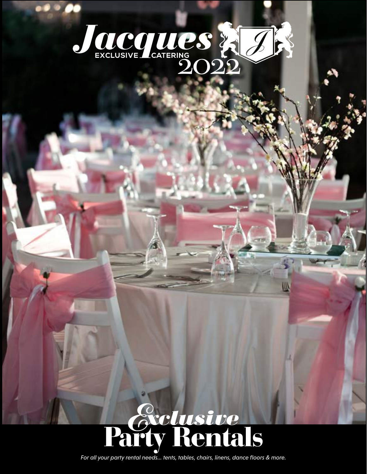

DO C

# *<u>Sectusive</u>*<br>arty Rentals

*For all your party rental needs... tents, tables, chairs, linens, dance floors & more.*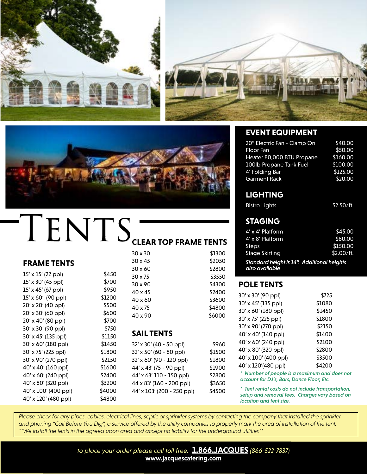

40' x 120' (480 ppl) \$4800





## $\textrm{T}$  ENTS CLEAR TOP FRAME TENTS

|                           |        | 30 x 30                    | \$1300 | <b>Stage Skirting</b> |
|---------------------------|--------|----------------------------|--------|-----------------------|
| <b>FRAME TENTS</b>        |        | $30 \times 45$             | \$2050 | <b>Standard heigh</b> |
|                           |        | $30 \times 60$             | \$2800 | also available        |
| $15' \times 15'$ (22 ppl) | \$450  | 30 x 75                    | \$3550 |                       |
| 15' x 30' (45 ppl)        | \$700  | 30 x 90                    | \$4300 | <b>POLE TENTS</b>     |
| 15' x 45' (67 ppl)        | \$950  | 40 x 45                    | \$2400 |                       |
| 15' x 60' (90 ppl)        | \$1200 | 40 x 60                    | \$3600 | 30' x 30' (90 ppl)    |
| 20' x 20' (40 ppl)        | \$500  | $40 \times 75$             | \$4800 | 30' x 45' (135 ppl)   |
| 20' x 30' (60 ppl)        | \$600  | 40 x 90                    | \$6000 | 30' x 60' (180 ppl    |
| 20' x 40' (80 ppl)        | \$700  |                            |        | 30' x 75' (225 ppl)   |
| 30' x 30' (90 ppl)        | \$750  |                            |        | 30' x 90' (270 ppl)   |
| 30' x 45' (135 ppl)       | \$1150 | <b>SAIL TENTS</b>          |        | 40' x 40' (140 ppl    |
| 30' x 60' (180 ppl)       | \$1450 | 32' x 30' (40 - 50 ppl)    | \$960  | 40' x 60' (240 ppl    |
| 30' x 75' (225 ppl)       | \$1800 | 32' x 50' (60 - 80 ppl)    | \$1500 | 40' x 80' (320 ppl)   |
| 30' x 90' (270 ppl)       | \$2150 | 32' x 60' (90 - 120 ppl)   | \$1800 | 40' x 100' (400 p)    |
| 40' x 40' (160 ppl)       | \$1600 | 44' x 43' (75 - 90 ppl)    | \$1900 | 40' x 120'(480 pp     |
| 40' x 60' (240 ppl)       | \$2400 | 44' x 63' 110 - 150 ppl)   | \$2800 | * Number of peop      |
| 40' x 80' (320 ppl)       | \$3200 | 44 x 83' (160 - 200 ppl)   | \$3650 | account for DJ's, B   |
| 40' x 100' (400 ppl)      | \$4000 | 44' x 103' (200 - 250 ppl) | \$4500 | * Tent rental costs   |

#### **EVENT EQUIPMENT**

| 20" Electric Fan - Clamp On | \$40.00  |
|-----------------------------|----------|
| <b>Floor Fan</b>            | \$50.00  |
| Heater 80,000 BTU Propane   | \$160.00 |
| 100lb Propane Tank Fuel     | \$100.00 |
| 4' Folding Bar              | \$125.00 |
| <b>Garment Rack</b>         | \$20.00  |

#### **LIGHTING**

#### **STAGING**

| $4' \times 4'$ Platform                                                | \$45.00    |
|------------------------------------------------------------------------|------------|
| 4' x 8' Platform                                                       | \$80.00    |
| <b>Steps</b>                                                           | \$150.00   |
| <b>Stage Skirting</b>                                                  | \$2.00/ft. |
| <b>Standard height is 14". Additional heights</b><br>واطعوانوريو وءاور |            |

#### **POLE TENTS**

| 30' x 30' (90 ppl)                           | \$725  |
|----------------------------------------------|--------|
| 30' x 45' (135 ppl)                          | \$1080 |
| 30' x 60' (180 ppl)                          | \$1450 |
| 30' x 75' (225 ppl)                          | \$1800 |
| 30' x 90' (270 ppl)                          | \$2150 |
| 40' x 40' (140 ppl)                          | \$1400 |
| 40' x 60' (240 ppl)                          | \$2100 |
| 40' x 80' (320 ppl)                          | \$2800 |
| 40' x 100' (400 ppl)                         | \$3500 |
| 40' x 120'(480 ppl)                          | \$4200 |
| * Number of people is a maximum and does not |        |

*account for DJ's, Bars, Dance Floor, Etc.*

*\* Tent rental costs do not include transportation, setup and removal fees. Charges vary based on location and tent size.*

Please check for any pipes, cables, electrical lines, septic or sprinkler systems by contacting the company that installed the sprinkler *and phoning "Call Before You Dig", a service offered by the utility companies to properly mark the area of installation of the tent. \*\*We install the tents in the agreed upon area and accept no liability for the underground utilities\*\**

> *to place your order please call toll free:* **[1.866.JACQUES](tel:+18665227837)** *(866-522-7837)* **[www.jacquescatering.com](http://www.jacquescatering.com)**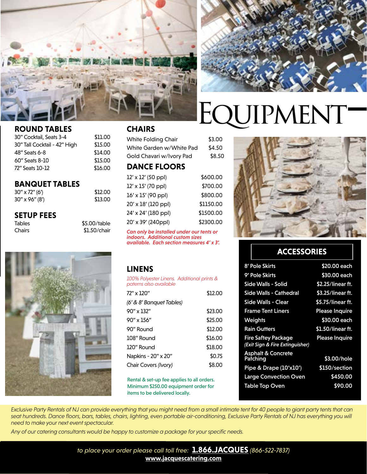

\$12.00 \$13.00



### EQUIPMENT-

#### **ROUND TABLES**

| 30" Cocktail, Seats 3-4      | \$11.00 |
|------------------------------|---------|
| 30" Tall Cocktail - 42" High | \$15.00 |
| 48" Seats 6-8                | \$14.00 |
| 60" Seats 8-10               | \$15.00 |
| 72" Seats 10-12              | \$16.00 |
|                              |         |

#### **BANQUET TABLES**

| $30'' \times 72''$ (6') |  |
|-------------------------|--|
| $30''$ x 96" (8')       |  |

#### **SETUP FEES**

| <b>Tables</b> | \$5.00/table |
|---------------|--------------|
| Chairs        | \$1.50/chair |



#### **CHAIRS**

White Folding Chair \$3.00 White Garden w/White Pad \$4.50 Gold Chavari w/Ivory Pad \$8.50 **DANCE FLOORS**

| 12' x 12' (50 ppl)  | \$600.00  |
|---------------------|-----------|
| 12' x 15' (70 ppl)  | \$700.00  |
| 16' x 15' (90 ppl)  | \$800.00  |
| 20' x 18' (120 ppl) | \$1150.00 |
| 24' x 24' (180 ppl) | \$1500.00 |
| 20' x 39' (240ppl)  | \$2300.00 |

*Can only be installed under our tents or indoors. Additional custom sizes available. Each section measures 4' x 3'.*

#### **LINENS**

*100% Polyester Linens. Additional prints & paterns also available*

| 72" x 120"               | \$12.00 |
|--------------------------|---------|
| (6' & 8' Banquet Tables) |         |
| $90''$ x 132"            | \$23.00 |
| $90''$ x $156''$         | \$25.00 |
| 90" Round                | \$12.00 |
| 108" Round               | \$16.00 |
| 120" Round               | \$18.00 |
| Napkins - 20" x 20"      | \$0.75  |
| Chair Covers (Ivory)     | \$8.00  |
|                          |         |

Rental & set-up fee applies to all orders. Minimum \$250.00 equipment order for items to be delivered locally.



#### **ACCESSORIES**

| 8' Pole Skirts                                                | \$20.00 each          |
|---------------------------------------------------------------|-----------------------|
| 9' Pole Skirts                                                | \$30.00 each          |
| Side Walls - Solid                                            | \$2.25/linear ft.     |
| Side Walls - Cathedral                                        | \$3.25/linear ft.     |
| Side Walls - Clear                                            | \$5.75/linear ft.     |
| <b>Frame Tent Liners</b>                                      | <b>Please Inquire</b> |
| Weights                                                       | \$30.00 each          |
| <b>Rain Gutters</b>                                           | \$1.50/linear ft.     |
| <b>Fire Saftey Package</b><br>(Exit Sign & Fire Extinguisher) | <b>Please Inquire</b> |
| <b>Asphalt &amp; Concrete</b><br><u>Pa</u> iching             | \$3.00/hole           |
| Pipe & Drape (10'x10')                                        | \$150/section         |
| <b>Large Convection Oven</b>                                  | \$450.00              |
| <b>Table Top Oven</b>                                         | \$90.00               |
|                                                               |                       |

*Exclusive Party Rentals of NJ can provide everything that you might need from a small intimate tent for 40 people to giant party tents that can*  seat hundreds. Dance floors, bars, tables, chairs, lighting, even portable air-conditioning, Exclusive Party Rentals of NJ has everything you will *need to make your next event spectacular.*

*Any of our catering consultants would be happy to customize a package for your specific needs.*

*to place your order please call toll free:* **[1.866.JACQUES](tel:+18665227837)** *(866-522-7837)* **[www.jacquescatering.com](http://www.jacquescatering.com)**